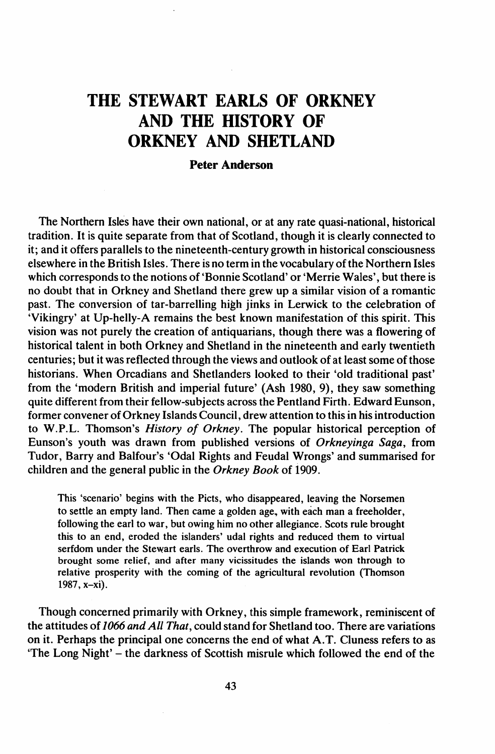## THE STEWART EARLS OF ORKNEY AND THE HISTORY OF ORKNEY AND SHETLAND

## Peter Anderson

The Northern Isles have their own national, or at any rate quasi-national, historical tradition. It is quite separate from that of Scotland, though it is clearly connected to it; and it offers parallels to the nineteenth-century growth in historical consciousness elsewhere in the British Isles. There is no term in the vocabulary ofthe Northern Isles which corresponds to the notions of'Bonnie Scotland' or 'Merrie Wales', but there is no doubt that in Orkney and Shetland there grew up a similar vision of a romantic past. The conversion of tar-barrelling high jinks in Lerwick to the celebration of 'Vikingry' at Up-helly-A remains the best known manifestation of this spirit. This vision was not purely the creation of antiquarians, though there was a flowering of historical talent in both Orkney and Shetland in the nineteenth and early twentieth centuries; but it was reflected through the views and outlook of at least some ofthose historians. When Orcadians and Shetlanders looked to their 'old traditional past' from the 'modern British and imperial future' (Ash 1980, 9), they saw something quite different from their fellow-subjects across the Pentland Firth. Edward Eunson, former convener ofOrkney Islands Council, drew attention to this in hisintroduction to W.P.L. Thomson's *History of Orkney.* The popular historical perception of Eunson's youth was drawn from published versions of *Orkneyinga Saga,* from Tudor, Barry and Balfour's 'Odal Rights and Feudal Wrongs' and summarised for children and the general public in the *Orkney Book* of i909.

This 'scenario' begins with the Picts, who disappeared, leaving the Norsemen to settle an empty land. Then came a golden age., with each man a freeholder, following the earl to war, but owing him no other allegiance. Scots rule brought this to an end, eroded the islanders' udal rights and reduced them to virtual serfdom under the Stewart earls. The overthrow and execution of Earl Patrick brought some relief, and after many vicissitudes the islands won through to relative prosperity with the coming of the agricultural revolution (Thomson 1987, x-xi).

Though concerned primarily with Orkney, this simple framework, reminiscent of the attitudes of *1066 and All That,* could stand for Shetland too. There are variations on it. Perhaps the principal one concerns the end of what A.T. Cluness refers to as 'The Long Night' - the darkness of Scottish misrule which followed the end of the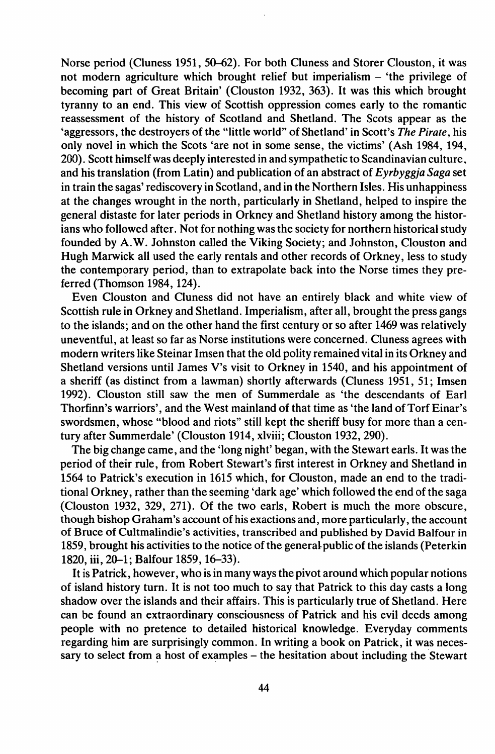Norse period (Cluness 1951, 50-62). For both Cluness and Storer Clouston, it was not modern agriculture which brought relief but imperialism - 'the privilege of becoming part of Great Britain' (Clouston 1932, 363). It was this which brought tyranny to an end. This view of Scottish oppression comes early to the romantic reassessment of the history of Scotland and Shetland. The Scots appear as the 'aggressors, the destroyers of the "little world" of Shetland' in Scott's *The Pirate,* his only novel in which the Scots 'are not in some sense, the victims' (Ash 1984, 194, 200). Scott himself was deeply interested in and sympathetic to Scandinavian culture.. and his translation (from Latin) and publication of an abstract of *Eyrbyggja Saga* set in train the sagas' rediscovery in Scotland, and in the Northern Isles. His unhappiness at the changes wrought in the north, particularly in Shetland, helped to inspire the general distaste for later periods in Orkney and Shetland history among the historians who followed after. Not for nothing was the society for northern historical study founded by A.W. lohnston called the Viking Society; and lohnston, Clouston and Hugh Marwick all used the early rentals and other records of Orkney, less to study the contemporary period, than to extrapolate back Into the Norse times they preferred (Thomson 1984, 124).

Even Clouston and Cluness did not have an entirely black and white view of Scottish rule in Orkney and Shetland. Imperialism, after all, brought the press gangs to the islands; and on the other hand the first century or so after 1469 was relatively uneventful, at least so far as Norse institutions were concerned. Cluness agrees with modern writers like Steinar Imsen that the old polity remained vital in its Orkney and Shetland versions until lames V's visit to Orkney in 1540, and his appointment of a sheriff (as distinct from a lawman) shortly afterwards (Cluness 1951, 51; Imsen 1992). Clouston still saw the men of Summerdale as 'the descendants of Earl Thorfinn's warriors', and the West mainland of that time as 'the land of Torf Einar's swordsmen, whose "blood and riots" still kept the sheriff busy for more than a century after Summerdale' (Clouston 1914, xlviii; Clouston 1932, 290).

The big change came, and the 'long night' began, with the Stewart earls. It was the period of their rule, from Robert Stewart's first interest in Orkney and Shetland in 1564 to Patrick's execution in 1615 which, for Clouston, made an end to the traditional Orkney, rather than the seeming 'dark age' which followed the end ofthe saga (Clouston 1932, 329, 271). Of the two earls, Robert is much the more obscure, though bishop Graham's account of his exactions and, more particularly, the account of Bruce of Cultmalindie's activities, transcribed and published by David Balfour in 1859, brought his activities to the notice of the general-public of the islands (Peterkin 1820, iii, 20-1; Balfour 1859, 16-33).

It is Patrick, however, who is in many waysthe pivot around which popular notions of island history turn. It is not too much to say that Patrick to this day casts a long shadow over the islands and their affairs. This is particularly true of Shetland. Here can be found an extraordinary consciousness of Patrick and his evil deeds among people with no pretence to detailed historical knowledge. Everyday comments regarding him are surprisingly common. In writing a book on Patrick, it was necessary to select from a host of examples  $-$  the hesitation about including the Stewart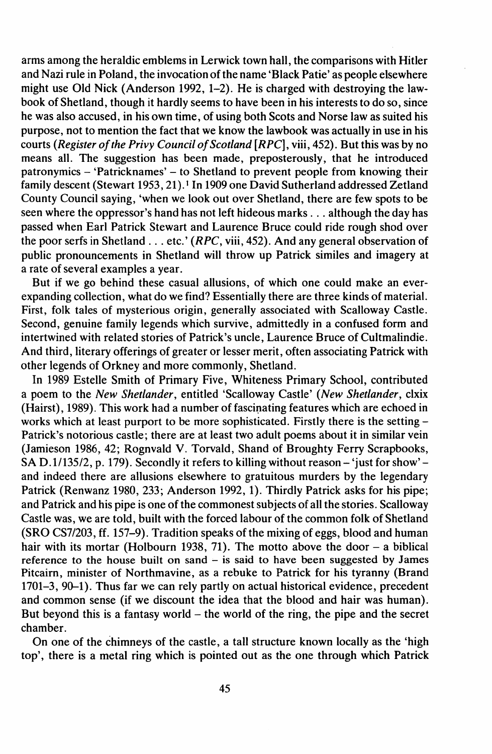arms among the heraldic emblems in Lerwick town hall, the comparisons with Hitler and Nazi rule in Poland, the invocation of the name 'Black Patie' as people elsewhere might use Old Nick (Anderson 1992, 1-2). He is charged with destroying the lawbook of Shetland, though it hardly seems to have been in his interests to do so, since he was also accused, in his own time, of using both Scots and Norse law as suited his purpose, not to mention the fact that we know the lawbook was actually in use in his courts (Register of the Privy Council of Scotland [RPC], viii, 452). But this was by no means all. The suggestion has been made, preposterously, that he introduced patronymics - 'Patricknames' - to Shetland to prevent people from knowing their family descent (Stewart 1953, 21).1 In 1909 one David Sutherland addressed Zetland County Council saying, 'when we look out over Shetland, there are few spots to be seen where the oppressor's hand has not left hideous marks ... although the day has passed when Earl Patrick Stewart and Laurence Bruce could ride rough shod over the poor serfs in Shetland ... etc.' *(RPC,* viii, 452). And any general observation of public pronouncements in Shetland will throw up Patrick similes and imagery at a rate of several examples a year.

But if we go behind these casual allusions, of which one could make an everexpanding collection, what do we find? Essentially there are three kinds of material. First, folk tales of mysterious origin, generally associated with Scalloway Castle. Second, genuine family legends which survive, admittedly in a confused form and intertwined with related stories of Patrick's uncle, Laurence Bruce of Cultmalindie. And third, literary offerings of greater or lesser merit, often associating Patrick with other legends of Orkney and more commonly, Shetland.

In 1989 Estelle Smith of Primary Five, Whiteness Primary School, contributed a poem to the *New Shetlander,* entitled 'Scalloway Castle' *(New Shetlander,* clxix (Hairst), 1989). This work had a number of fascinating features which are echoed in works which at least purport to be more sophisticated. Firstly there is the setting -Patrick's notorious castle; there are at least two adult poems about it in similar vein (Jamieson 1986, 42; Rognvald V. Torvald, Shand of Broughty Ferry Scrapbooks, SA D.1/135/2, p. 179). Secondly it refers to killing without reason - 'just for show' and indeed there are allusions elsewhere to gratuitous murders by the legendary Patrick (Renwanz 1980, 233; Anderson 1992, 1). Thirdly Patrick asks for his pipe; and Patrick and his pipe is one of the commonest subjects of all the stories. Scalloway Castle was, we are told, built with the forced labour of the common folk of Shetland (SRO CS7/203, ff. 157-9). Tradition speaks of the mixing of eggs, blood and human hair with its mortar (Holbourn 1938, 71). The motto above the door  $-$  a biblical reference to the house built on sand  $-$  is said to have been suggested by James Pitcairn, minister of Northmavine, as a rebuke to Patrick for his tyranny (Brand 1701-3, 90-1). Thus far we can rely partly on actual historical evidence, precedent and common sense (if we discount the idea that the blood and hair was human). But beyond this is a fantasy world  $-$  the world of the ring, the pipe and the secret chamber.

On one of the chimneys of the castle, a tall structure known locally as the 'high top', there is a metal ring which is pointed out as the one through which Patrick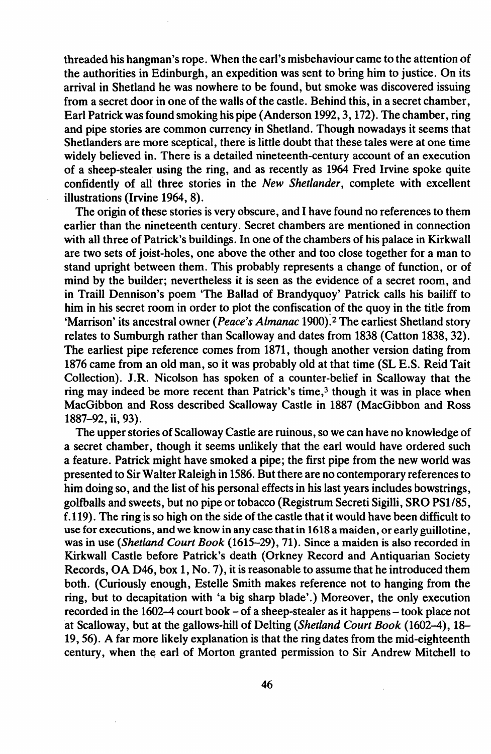threaded his hangman's rope. When the earl's misbehaviour came to the attention of the authorities in Edinburgh, an expedition was sent to bring him to justice. On its arrival in Shetland he was nowhere to be found, but smoke was discovered issuing from a secret door in one of the walls of the castle. Behind this, in a secret chamber, Earl Patrick wasfound smoking his pipe (Anderson 1992,3, 172). The chamber, ring and pipe stories are common currency in Shetland. Though nowadays it seems that Shetlanders are more sceptical, there is little doubt that these tales were at one time widely believed in. There is a detailed nineteenth-century account of an execution of a sheep-stealer using the ring, and as recently as 1964 Fred Irvine spoke quite confidently of alf three stories in the *New Shetlander,* complete with excellent illustrations (Irvine 1964, 8).

The origin of these stories is very obscure, and I have found no references to them earlier than the nineteenth century. Secret chambers are mentioned in connection with all three of Patrick's buildings. In one of the chambers of his palace in Kirkwall are two sets of joist-holes, one above the other and too close together for a man to stand upright between them. This probably represents a change of function, or of mind by the builder; nevertheless it is seen as the evidence of a secret room, and in Traill Dennison's poem 'The Ballad of Brandyquoy' Patrick calls his bailiff to him in his secret room in order to plot the confiscation of the quoy in the title from 'Marrison' its ancestral owner *(Peace's Almanac* 1900):2 The earliest Shetland story relates to Sumburgh rather than Scalloway and dates from 1838 (Catton 1838, 32). The earliest pipe reference comes from 1871, though another version dating from 1876 came from an old man, so it was probably old at that time (SL E.S. Reid Tait Collection). J.R. Nicolson has spoken of a counter-belief in Scalloway that the ring may indeed be more recent than Patrick's time,<sup>3</sup> though it was in place when MacGibbon and Ross described Scalloway Castle in 1887 (MacGibbon and Ross 1887-92, ii, 93).

The upper stories of Scalloway Castle are ruinous, so we can have no knowledge of a secret chamber, though it seems unlikely that the earl would have ordered such a feature. Patrick might have smoked a pipe; the first pipe from the new world was presented to SirWaIter Raleigh in 1586. But there are no contemporary referencesto him doing so, and the list of his personal effects in his last years includes bowstrings, golfballs and sweets, but no pipe or tobacco (Registrum Secreti Sigilli, SRO PSl/85, f.119). The ring is so high on the side of the castle that it would have been difficult to use for executions, and we know in any case that in 1618 a maiden, or early guillotine, was in use *(Shetland Court Book* (1615-29), 71). Since a maiden is also recorded in Kirkwall Castle before Patrick's death (Orkney Record and Antiquarian Society Records, OA D46, box 1, No. 7), it is reasonable to assume that he introduced them both. (Curiously enough, Estelle Smith makes reference not to hanging from the ring, but to decapitation with 'a big sharp blade'.) Moreover, the only execution recorded in the 1602-4 court book - of a sheep-stealer as it happens- took place not 'at Scalloway, but at the gallows-hill of Delting *(Shetland Court Book* (1602-4), 18- 19,56). A far more likely explanation is that the ring dates from the mid-eighteenth century, when the earl of Morton granted permission to Sir Andrew Mitchell to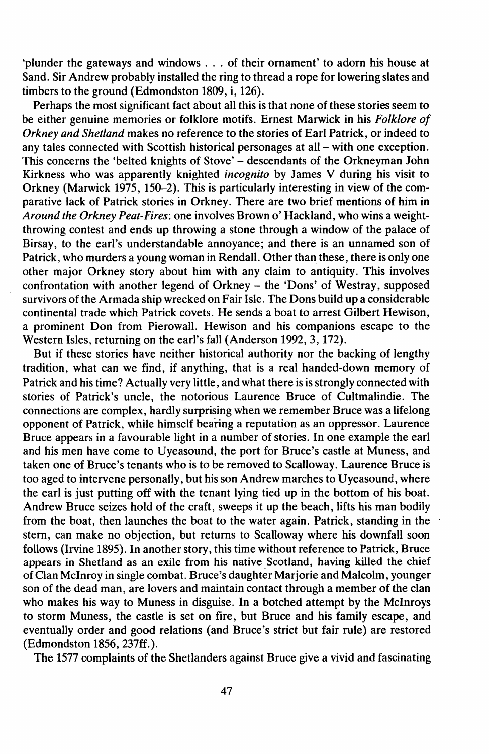'plunder the gateways and windows . . . of their ornament' to adorn his house at Sand. Sir Andrew probably installed the ring to thread a rope for lowering slates and timbers to the ground (Edmondston 1809, i, 126).

Perhaps the most significant fact about all this is that none of these stories seem to be either genuine memories or folklore motifs. Ernest Marwick in his *Folklore of Orkney and Shetland* makes no reference to the stories of Earl Patrick, or indeed to any tales connected with Scottish historical personages at all - with one exception. This concerns the 'belted knights of Stove' - descendants of the Orkneyman John Kirkness who was apparently knighted *incognito* by James V during his visit to Orkney (Marwick 1975, 150-2). This is particularly interesting in view of the comparative lack of Patrick stories in Orkney. There are two brief mentions of him in *Around the Orkney Peat-Fires:* one involves Brown 0' Hackland, who wins a weightthrowing contest and ends up throwing a stone through a window of the palace of Birsay, to the earl's understandable annoyance; and there is an unnamed son of Patrick, who murders a young woman in Rendall. Other than these, there is only one other major Orkney story about him with any claim to antiquity. This involves confrontation with another legend of Orkney - the 'Dons' of Westray, supposed survivors ofthe Armada ship wrecked on Fair Isle. The Dons build up a considerable continental trade which Patrick covets. He sends a boat to arrest Gilbert Hewison, a prominent Don from Pierowall. Hewison and his companions escape to the Western Isles, returning on the earl's fall (Anderson 1992, 3, 172).

But if these stories have neither historical authority nor the backing of lengthy tradition, what can we find, if anything, that is a real handed-down memory of Patrick and his time? Actually very little, and what there is isstrongly connected with stories of Patrick's uncle, the notorious Laurence Bruce of Cultmalindie. The connections are complex, hardly surprising when we remember Bruce was a lifelong opponent of Patrick , while himself bearing a reputation as an oppressor. Laurence Bruce appears in a favourable light in a number of stories. In one example the earl and his men have come to Uyeasound, the port for Bruce's castle at Muness, and taken one of Bruce's tenants who is to be removed to Scalloway. Laurence Bruce is too aged to intervene personally, but his son Andrew marches to Uyeasound, where the earl is just putting off with the tenant lying tied up in the bottom of his boat. Andrew Bruce seizes hold of the craft, sweeps it up the beach, lifts his man bodily from the boat, then launches the boat to the water again. Patrick, standing in the stern, can make no objection, but returns to Scalloway where his downfall soon follows (Irvine 1895). In another story, this time without reference to Patrick, Bruce appears in Shetland as an exile from his native Scotland, having killed the chief ofClan McInroy in single combat. Bruce's daughter Marjorie and Malcolm, younger son of the dead man, are lovers and maintain contact through a member of the clan who makes his way to Muness in disguise. In a botched attempt by the McInroys to storm Muness, the castle is set on fire, but Bruce and his family escape, and eventually order and good relations (and Bruce's strict but fair rule) are restored (Edmondston 1856, 237ff.).

The 1577 complaints of the Shetlanders against Bruce give a vivid and fascinating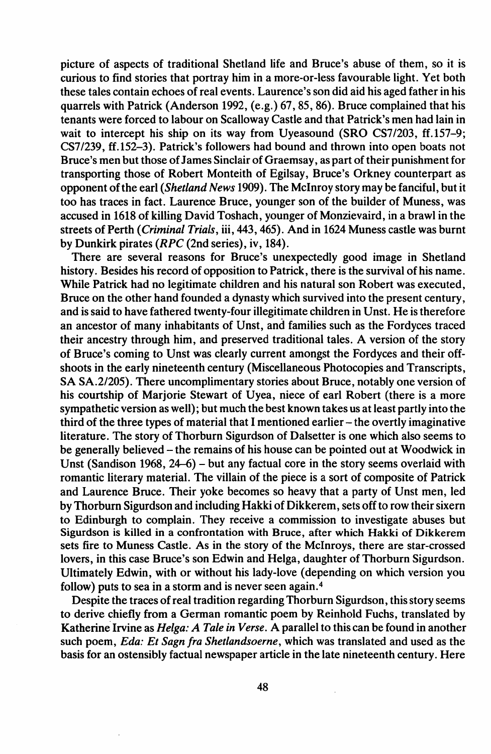picture of aspects of traditional Shetland life and Bruce's abuse of them, so it is curious to find stories that portray him in a more-or-Iess favourable light. Yet both these tales contain echoes of real events. Laurence's son did aid his aged father in his quarrels with Patrick (Anderson 1992, (e.g.) 67,85, 86). Bruce complained that his tenants were forced to labour on Scalloway Castle and that Patrick's men had lain in wait to intercept his ship on its way from Uyeasound (SRO CS7/203, ff.157-9; CS7/239, ff.152-3). Patrick's followers had bound and thrown into open boats not Bruce's men but those of James Sinclair of Graemsay, as part of their punishment for transporting those of Robert Monteith of Egilsay, Bruce's Orkney counterpart as opponent ofthe earl *(Shetland News* 1909). The McInroy story may be fanciful, but it too has traces in fact. Laurence Bruce, younger son of the builder of Muness, was accused in 1618 of killing David Toshach, younger of Monzievaird, in a brawl in the streets of Perth *(Criminal Trials, iii, 443, 465)*. And in 1624 Muness castle was burnt by Dunkirk pirates (RPC (2nd series), iv, 184).

There are several reasons for Bruce's unexpectedly good image in Shetland history. Besides his record of opposition to Patrick, there is the survival of his name. While Patrick had no legitimate children and his natural son Robert was executed, Bruce on the other hand founded a dynasty which survived into the present century, and issaid to have fathered twenty-four illegitimate children in Unst. He is therefore an ancestor of many inhabitants of Unst, and families such as the Fordyces traced their ancestry through him, and preserved traditional tales. A version of the story of Bruce's coming to Dnst was clearly current amongst the Fordyces and their offshoots in the early nineteenth century (Miscellaneous Photocopies and Transcripts, SA SA.2/205). There uncomplimentary stories about Bruce, notably one version of his courtship of Marjorie Stewart of Uyea, niece of earl Robert (there is a more sympathetic version as well); but much the best known takes us at least partly into the third of the three types of material that I mentioned earlier - the overtly imaginative literature. The story of Thorburn Sigurdson of Dalsetter is one which also seems to be generally believed - the remains of his house can be pointed out at Woodwick in Unst (Sandison 1968, 24-6) - but any factual core in the story seems overlaid with romantic literary material. The villain of the piece is a sort of composite of Patrick and Laurence Bruce. Their yoke becomes so heavy that a party of Dnst men, led by Thorburn Sigurdson and including Hakki of Dikkerem, sets off to row their sixern to Edinburgh to complain. They receive a commission to investigate abuses but Sigurdson is killed in a confrontation with Bruce, after which Hakki of Dikkerem sets fire to Muness Castle. As in the story of the McInroys, there are star-crossed lovers, in this case Bruce's son Edwin and Helga, daughter of Thorburn Sigurdson. Ultimately Edwin, with or without his lady-love (depending on which version you follow) puts to sea in a storm and is never seen again. <sup>4</sup>

Despite the traces of real tradition regarding Thorburn Sigurdson, this story seems to derive chiefly from a German romantic poem by Reinhold Fuchs, translated by Katherine Irvine as *Helga: A Tale in Verse.* A parallel to this can be found in another such poem, *Eda: Et Sagn Ira Shetlandsoerne,* which was translated and used as the basis for an ostensibly factual newspaper article in the late nineteenth century. Here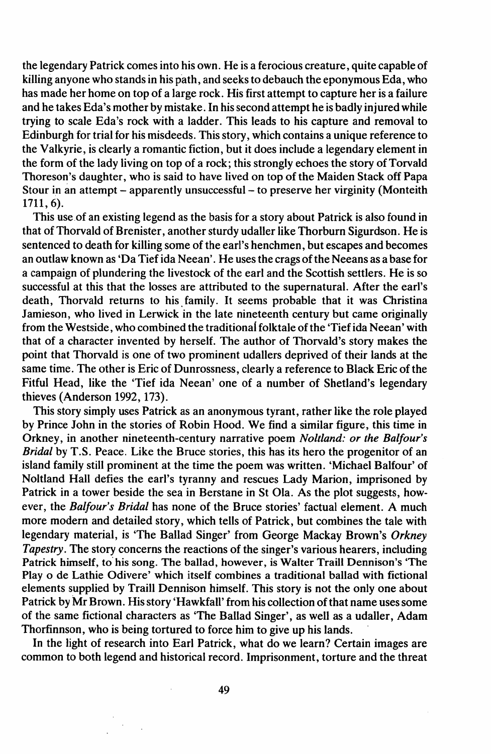the legendary Patrick comes into his own. He is a ferocious creature, quite capable of killing anyone who stands in his path, and seeks to debauch the eponymous Eda, who has made her home on top of a large rock. His first attempt to capture her is a failure and he takes Eda's mother by mistake. In his second attempt he is badly injured while trying to scale Eda's rock with a ladder. This leads to his capture and removal to Edinburgh for trial for his misdeeds. Thisstory, which contains a unique reference to the Valkyrie, is clearly a romantic fiction, but it does include a legendary element in the form of the lady living on top of a rock; this strongly echoes the story of Torvald Thoreson's daughter, who is said to have lived on top of the Maiden Stack off Papa Stour in an attempt – apparently unsuccessful – to preserve her virginity (Monteith 1711,6).

This use.of an existing legend as the basis for a story about Patrick is also found in that of Thorvald of Brenister, another sturdy udaller like Thorburn Sigurdson. He is sentenced to death for killing some of the earl's henchmen, but escapes and becomes an outlaw known as 'Da Tief ida Neean'. He uses the crags of the Neeans as a base for a campaign of plundering the livestock of the earl and the Scottish settlers. He is so successful at this that the losses are attributed to the supernatural. After the earl's death, Thorvald returns to his family. It seems probable that it was Christina Jamieson, who lived in Lerwick in the late nineteenth century but came originally from the Westside, who combined the traditionai folktale ofthe 'Tiefida Neean' with that of a character invented by herself. The author of ThorvaId's story makes the point that Thorvald is one of two prominent udallers deprived of their lands at the same time. The other is Eric of Dunrossness, clearly a reference to Black Eric of the Fitful Head, like the 'Tief ida Neean' one of a number of Shetland's legendary thieves (Anderson 1992, 173).

This story simply uses Patrick as an anonymous tyrant, rather like the role played by Prince John in the stories of Robin Hood. We find a similar figure, this time in Orkney, in another nineteenth-century narrative poem *Noltland: or the Ba/four's Bridal* by T.S. Peace. Like the Bruce stories, this has its hero the progenitor of an island family still prominent at the time the poem was written. 'Michael BaIfour' of Noltland Hall defies the earl's tyranny and rescues Lady Marion, imprisoned by Patrick in a tower beside the sea in Berstane in St Ola. As the plot suggests, however, the *Balfour's Bridal* has none of the Bruce stories' factual element. A much more modern and detailed story, which tells of Patrick, but combines the tale with legendary material, is 'The Ballad Singer' from George Mackay Brown's *Orkney Tapestry.* The story concerns the reactions of the singer's various hearers, including Patrick himself, to his song. The ballad, however, is Walter Traill Dennison's 'The Play <sup>0</sup> de Lathie Odivere' which itself combines a traditional ballad with fictional elements supplied by Traill Dennison himself. This story is not the only one about Patrick by Mr Brown. His story 'Hawkfall' from his collection of that name uses some of the same fictional characters as 'The Ballad Singer', as well as a udaller, Adam Thorfinnson, who is being tortured to force him to give up his lands.

In the light of research into Earl Patrick, what do we learn? Certain images are common to both legend and historical record. Imprisonment, torture and the threat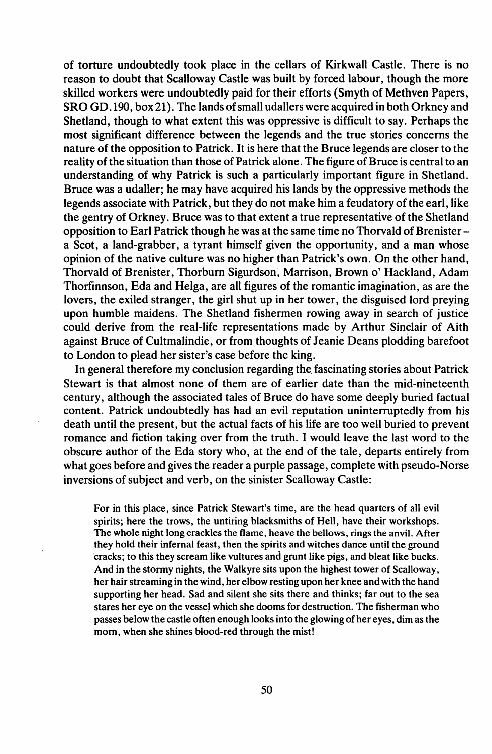of torture undoubtedly took place in the cellars of Kirkwall Castle. There is no reason to doubt that Scalloway Castle was built by forced labour, though the more skilled workers were undoubtedly paid for their efforts (Smyth of Methven Papers, SRO GD.190, box 21). The lands ofsmall udallers were acquired in both Orkney and Shetland, though to what extent this was oppressive is difficult to say. Perhaps the most significant difference between the legends and the true stories concerns the nature of the opposition to Patrick. It is here that the Bruce legends are closer to the reality of the situation than those of Patrick alone. The figure of Bruce is central to an understanding of why Patrick is such a particularly important figure in Shetland. Bruce was a udaller; he may have acquired his lands by the oppressive methods the legends associate with Patrick, but they do not make him a feudatory of the earl, like the gentry of Orkney. Bruce was to that extent a true representative of the Shetland opposition to Earl Patrick though he was at the same time no Thorvald of Brenistera Scot, a land-grabber, a tyrant himself given the opportunity, and a man whose opinion of the native culture was no higher than Patrick's own. On the other hand, Thorvald of Brenister, Thorburn Sigurdson, Marrison, Brown o' Hackland, Adam Thorfinnson, Eda and Helga, are all figures of the romantic imagination, as are the lovers, the exiled stranger, the girl shut up in her tower, the disguised lord preying upon humble maidens. The Shetland fishermen rowing away in search of justice could derive from the real-life representations made by Arthur Sinclair of Aith against Bruce of Cultmalindie, or from thoughts of Jeanie Deans plodding barefoot to London to plead her sister's case before the king.

In general therefore my conclusion regarding the fascinating stories about Patrick Stewart is that almost none of them are of earlier date than the mid-nineteenth century, although the associated tales of Bruce do have some deeply buried factual content. Patrick undoubtedly has had an evil reputation uninterruptedly from his death until the present, but the actual facts of his life are too well buried to prevent romance and fiction taking over from the truth. I would leave the last word to the obscure author of the Eda story who, at the end of the tale, departs entirely from what goes before and gives the reader a purple passage, complete with pseudo-Norse inversions of subject and verb, on the sinister Scalloway Castle:

For in this place, since Patrick Stewart's time, are the head quarters of all evil spirits; here the trows, the untiring blacksmiths of Hell, have their workshops. The whole night long crackles the flame, heave the bellows, rings the anvil. After they hold their infernal feast, then the spirits and witches dance until the ground 'cracks; to this they scream like vultures and grunt like pigs, and bleat like bucks. And in the stormy nights, the Walkyre sits upon the highest tower of Scalloway, her hair streaming in the wind, her elbow resting upon her knee and with the hand supporting her head. Sad and silent she sits there and thinks; far out to the sea stares her eye on the vessel which she dooms for destruction. The fisherman who passes below the castle often enough looksinto the glowing of her eyes, dim asthe morn, when she shines blood-red through the mist!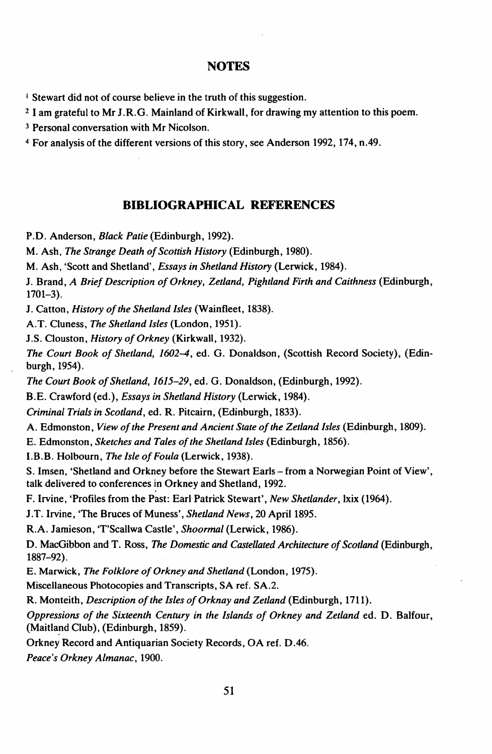## **NOTES**

<sup>I</sup> Stewart did not of course believe in the truth of this suggestion.

<sup>2</sup> I am grateful to Mr J.R.G. Mainland of Kirkwall, for drawing my attention to this poem.

<sup>3</sup> Personal conversation with Mr Nicolson.

<sup>4</sup> For analysis of the different versions of this story, see Anderson 1992, 174, n.49.

## **BIBLIOGRAPHICAL REFERENCES**

P.D. Anderson, *Black Patie* (Edinburgh, 1992).

M. Ash, *The Strange Death ofScottish History* (Edinburgh, 1980).

M. Ash, 'Scott and Shetland', *Essays in Shetland History* (Lerwick, 1984).

J. Brand, *A Brief Description ofOrkney, Zetland, Pightland Firth and Caithness* (Edinburgh, 1701-3).

J. Catton, *History ofthe Shetland Isles* (Wainfleet, 1838).

A.T. Cluness, *The Shetland Isles* (London, 1951).

J.S. Clouston, *History ofOrkney* (Kirkwall, 1932).

*The Court Book of Shetland, 1602-4,* ed. G. Donaldson, (Scottish Record Society), (Edinburgh, 1954).

*The Court Book of Shetland, 1615-29, ed. G. Donaldson, (Edinburgh, 1992).* 

B.E. Crawford (ed.), *Essays in Shetland History* (Lerwick, 1984).

*Criminal Trials in Scotland,* ed. R. Pitcairn, (Edinburgh, 1833).

A. Edmonston, *View ofthe Present and Ancient State ofthe Zetland Isles* (Edinburgh, 1809).

E. Edmonston, *Sketches and Tales ofthe Shetland Isles* (Edinburgh, 1856).

LB.B. Holbourn, *The Isle ofFoula* (Lerwick, 1938).

S. Imsen, 'Shetland and Orkney before the Stewart Earls - from a Norwegian Point of View', talk delivered to conferences in Orkney and Shetland, 1992.

F. Irvine, 'Profiles from the Past: Earl Patrick Stewart', *New Shetlander,* Ixix (1964).

J.T. Irvine, 'The Bruces of Muness', *Shetland News,* 20 April 1895.

R.A. Jamieson, 'T'Scallwa Castle', *Shoormal* (Lerwick, 1986).

D. MacGibbon and T. Ross, *The Domestic and Castellated Architecture of Scotland* (Edinburgh, 1887-92).

E. Marwick, *The Folklore ofOrkney and Shetland* (London, 1975).

Miscellaneous Photocopies and Transcripts, SA ref. SA.2.

R. Monteith, *Description ofthe Isles ofOrknay and Zetland* (Edinburgh, 1711).

*Oppressions of the Sixteenth Century in the Islands of Orkney and Zetland* ed. D. Balfour, (Maitland Club), (Edinburgh, 1859).

Orkney Record and Antiquarian Society Records, OA ref. D.46.

*Peace's Orkney Almanac,* 1900.